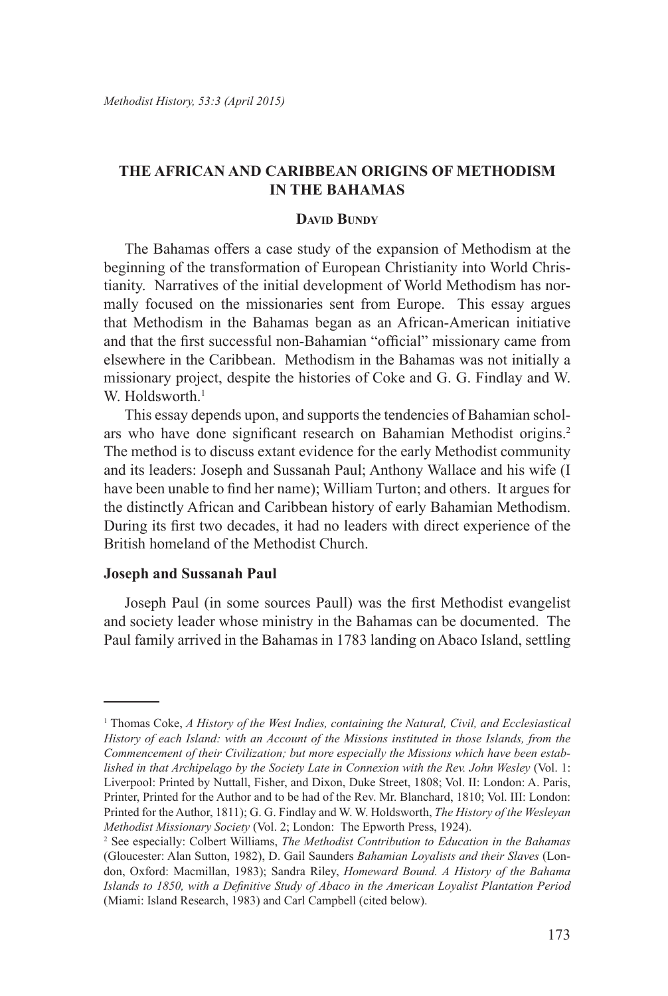## **THE AFRICAN AND CARIBBEAN ORIGINS OF METHODISM IN THE BAHAMAS**

## **David Bundy**

The Bahamas offers a case study of the expansion of Methodism at the beginning of the transformation of European Christianity into World Christianity. Narratives of the initial development of World Methodism has normally focused on the missionaries sent from Europe. This essay argues that Methodism in the Bahamas began as an African-American initiative and that the first successful non-Bahamian "official" missionary came from elsewhere in the Caribbean. Methodism in the Bahamas was not initially a missionary project, despite the histories of Coke and G. G. Findlay and W. W. Holdsworth  $1$ 

This essay depends upon, and supports the tendencies of Bahamian scholars who have done significant research on Bahamian Methodist origins.<sup>2</sup> The method is to discuss extant evidence for the early Methodist community and its leaders: Joseph and Sussanah Paul; Anthony Wallace and his wife (I have been unable to find her name); William Turton; and others. It argues for the distinctly African and Caribbean history of early Bahamian Methodism. During its first two decades, it had no leaders with direct experience of the British homeland of the Methodist Church.

#### **Joseph and Sussanah Paul**

Joseph Paul (in some sources Paull) was the first Methodist evangelist and society leader whose ministry in the Bahamas can be documented. The Paul family arrived in the Bahamas in 1783 landing on Abaco Island, settling

<sup>&</sup>lt;sup>1</sup> Thomas Coke, *A History of the West Indies, containing the Natural, Civil, and Ecclesiastical History of each Island: with an Account of the Missions instituted in those Islands, from the Commencement of their Civilization; but more especially the Missions which have been established in that Archipelago by the Society Late in Connexion with the Rev. John Wesley* (Vol. 1: Liverpool: Printed by Nuttall, Fisher, and Dixon, Duke Street, 1808; Vol. II: London: A. Paris, Printer, Printed for the Author and to be had of the Rev. Mr. Blanchard, 1810; Vol. III: London: Printed for the Author, 1811); G. G. Findlay and W. W. Holdsworth, *The History of the Wesleyan Methodist Missionary Society* (Vol. 2; London: The Epworth Press, 1924).

<sup>2</sup> See especially: Colbert Williams, *The Methodist Contribution to Education in the Bahamas* (Gloucester: Alan Sutton, 1982), D. Gail Saunders *Bahamian Loyalists and their Slaves* (London, Oxford: Macmillan, 1983); Sandra Riley, *Homeward Bound. A History of the Bahama Islands to 1850, with a Definitive Study of Abaco in the American Loyalist Plantation Period* (Miami: Island Research, 1983) and Carl Campbell (cited below).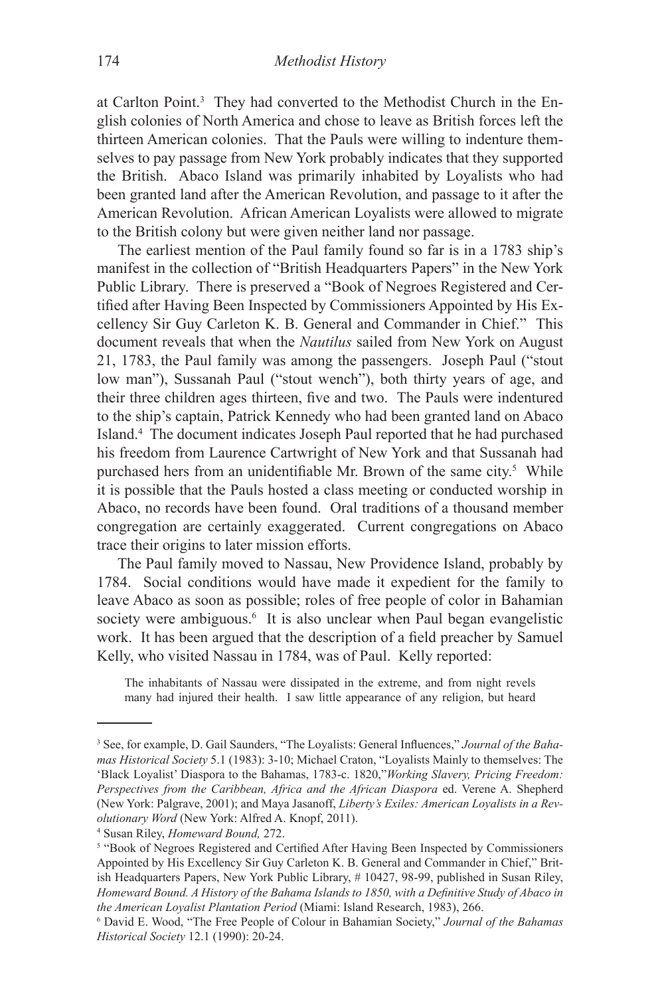at Carlton Point.<sup>3</sup> They had converted to the Methodist Church in the English colonies of North America and chose to leave as British forces left the thirteen American colonies. That the Pauls were willing to indenture themselves to pay passage from New York probably indicates that they supported the British. Abaco Island was primarily inhabited by Loyalists who had been granted land after the American Revolution, and passage to it after the American Revolution. African American Loyalists were allowed to migrate to the British colony but were given neither land nor passage.

The earliest mention of the Paul family found so far is in a 1783 ship's manifest in the collection of "British Headquarters Papers" in the New York Public Library. There is preserved a "Book of Negroes Registered and Certified after Having Been Inspected by Commissioners Appointed by His Excellency Sir Guy Carleton K. B. General and Commander in Chief." This document reveals that when the *Nautilus* sailed from New York on August 21, 1783, the Paul family was among the passengers. Joseph Paul ("stout low man"), Sussanah Paul ("stout wench"), both thirty years of age, and their three children ages thirteen, five and two. The Pauls were indentured to the ship's captain, Patrick Kennedy who had been granted land on Abaco Island.4 The document indicates Joseph Paul reported that he had purchased his freedom from Laurence Cartwright of New York and that Sussanah had purchased hers from an unidentifiable Mr. Brown of the same city.<sup>5</sup> While it is possible that the Pauls hosted a class meeting or conducted worship in Abaco, no records have been found. Oral traditions of a thousand member congregation are certainly exaggerated. Current congregations on Abaco trace their origins to later mission efforts.

The Paul family moved to Nassau, New Providence Island, probably by 1784. Social conditions would have made it expedient for the family to leave Abaco as soon as possible; roles of free people of color in Bahamian society were ambiguous.<sup>6</sup> It is also unclear when Paul began evangelistic work. It has been argued that the description of a field preacher by Samuel Kelly, who visited Nassau in 1784, was of Paul. Kelly reported:

The inhabitants of Nassau were dissipated in the extreme, and from night revels many had injured their health. I saw little appearance of any religion, but heard

<sup>3</sup> See, for example, D. Gail Saunders, "The Loyalists: General Influences," *Journal of the Bahamas Historical Society* 5.1 (1983): 3-10; Michael Craton, "Loyalists Mainly to themselves: The 'Black Loyalist' Diaspora to the Bahamas, 1783-c. 1820,"*Working Slavery, Pricing Freedom: Perspectives from the Caribbean, Africa and the African Diaspora* ed. Verene A. Shepherd (New York: Palgrave, 2001); and Maya Jasanoff, *Liberty's Exiles: American Loyalists in a Revolutionary Word* (New York: Alfred A. Knopf, 2011). 4

<sup>&</sup>lt;sup>4</sup> Susan Riley, *Homeward Bound*, 272.

<sup>&</sup>lt;sup>5</sup> "Book of Negroes Registered and Certified After Having Been Inspected by Commissioners Appointed by His Excellency Sir Guy Carleton K. B. General and Commander in Chief," British Headquarters Papers, New York Public Library, # 10427, 98-99, published in Susan Riley, *Homeward Bound. A History of the Bahama Islands to 1850, with a Definitive Study of Abaco in the American Loyalist Plantation Period* (Miami: Island Research, 1983), 266.

David E. Wood, "The Free People of Colour in Bahamian Society," *Journal of the Bahamas Historical Society* 12.1 (1990): 20-24.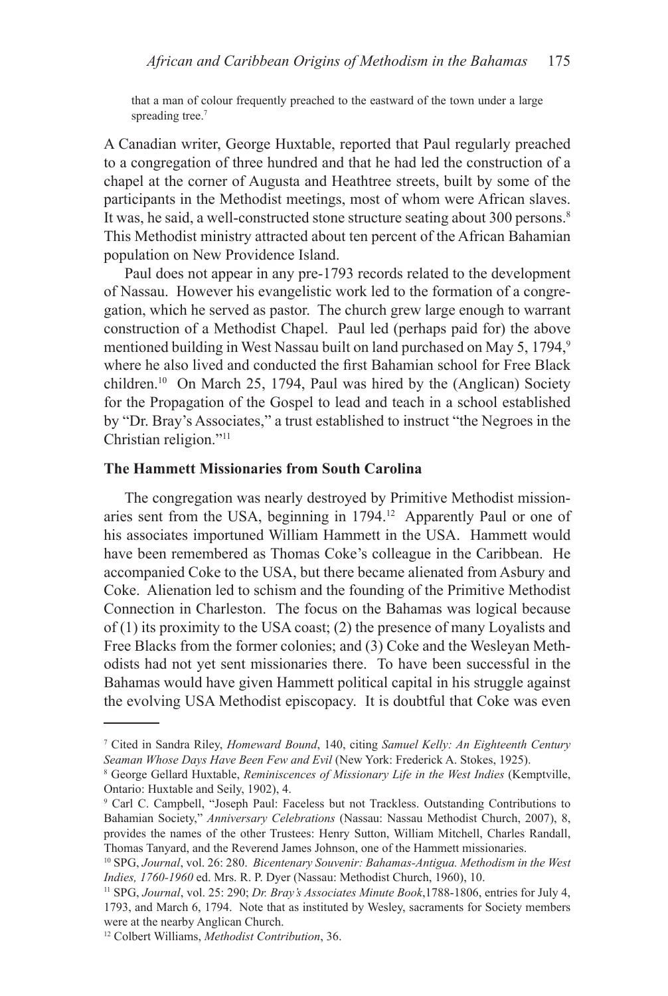that a man of colour frequently preached to the eastward of the town under a large spreading tree.<sup>7</sup>

A Canadian writer, George Huxtable, reported that Paul regularly preached to a congregation of three hundred and that he had led the construction of a chapel at the corner of Augusta and Heathtree streets, built by some of the participants in the Methodist meetings, most of whom were African slaves. It was, he said, a well-constructed stone structure seating about 300 persons.<sup>8</sup> This Methodist ministry attracted about ten percent of the African Bahamian population on New Providence Island.

Paul does not appear in any pre-1793 records related to the development of Nassau. However his evangelistic work led to the formation of a congregation, which he served as pastor. The church grew large enough to warrant construction of a Methodist Chapel. Paul led (perhaps paid for) the above mentioned building in West Nassau built on land purchased on May 5, 1794,<sup>9</sup> where he also lived and conducted the first Bahamian school for Free Black children.<sup>10</sup> On March 25, 1794, Paul was hired by the (Anglican) Society for the Propagation of the Gospel to lead and teach in a school established by "Dr. Bray's Associates," a trust established to instruct "the Negroes in the Christian religion."11

## **The Hammett Missionaries from South Carolina**

The congregation was nearly destroyed by Primitive Methodist missionaries sent from the USA, beginning in 1794.<sup>12</sup> Apparently Paul or one of his associates importuned William Hammett in the USA. Hammett would have been remembered as Thomas Coke's colleague in the Caribbean. He accompanied Coke to the USA, but there became alienated from Asbury and Coke. Alienation led to schism and the founding of the Primitive Methodist Connection in Charleston. The focus on the Bahamas was logical because of (1) its proximity to the USA coast; (2) the presence of many Loyalists and Free Blacks from the former colonies; and (3) Coke and the Wesleyan Methodists had not yet sent missionaries there. To have been successful in the Bahamas would have given Hammett political capital in his struggle against the evolving USA Methodist episcopacy. It is doubtful that Coke was even

<sup>7</sup> Cited in Sandra Riley, *Homeward Bound*, 140, citing *Samuel Kelly: An Eighteenth Century Seaman Whose Days Have Been Few and Evil* (New York: Frederick A. Stokes, 1925).

George Gellard Huxtable, *Reminiscences of Missionary Life in the West Indies* (Kemptville, Ontario: Huxtable and Seily, 1902), 4.

<sup>9</sup> Carl C. Campbell, "Joseph Paul: Faceless but not Trackless. Outstanding Contributions to Bahamian Society," *Anniversary Celebrations* (Nassau: Nassau Methodist Church, 2007), 8, provides the names of the other Trustees: Henry Sutton, William Mitchell, Charles Randall, Thomas Tanyard, and the Reverend James Johnson, one of the Hammett missionaries.

<sup>10</sup> SPG, *Journal*, vol. 26: 280. *Bicentenary Souvenir: Bahamas-Antigua. Methodism in the West Indies, 1760-1960* ed. Mrs. R. P. Dyer (Nassau: Methodist Church, 1960), 10.

<sup>11</sup> SPG, *Journal*, vol. 25: 290; *Dr. Bray's Associates Minute Book*,1788-1806, entries for July 4, 1793, and March 6, 1794. Note that as instituted by Wesley, sacraments for Society members were at the nearby Anglican Church.

<sup>12</sup> Colbert Williams, *Methodist Contribution*, 36.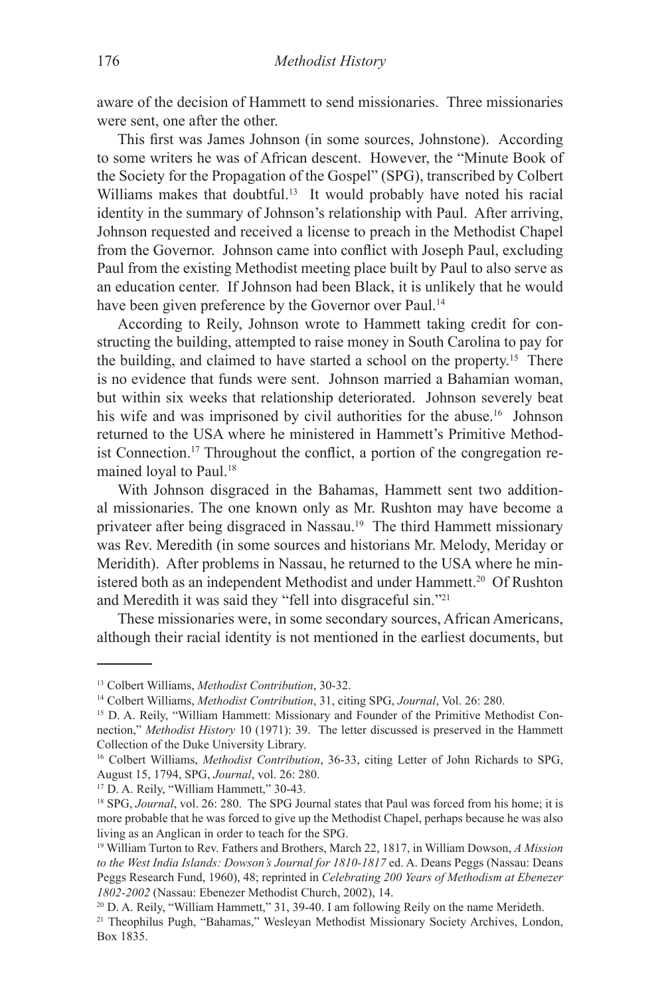aware of the decision of Hammett to send missionaries. Three missionaries were sent, one after the other.

This first was James Johnson (in some sources, Johnstone). According to some writers he was of African descent. However, the "Minute Book of the Society for the Propagation of the Gospel" (SPG), transcribed by Colbert Williams makes that doubtful.<sup>13</sup> It would probably have noted his racial identity in the summary of Johnson's relationship with Paul. After arriving, Johnson requested and received a license to preach in the Methodist Chapel from the Governor. Johnson came into conflict with Joseph Paul, excluding Paul from the existing Methodist meeting place built by Paul to also serve as an education center. If Johnson had been Black, it is unlikely that he would have been given preference by the Governor over Paul.<sup>14</sup>

According to Reily, Johnson wrote to Hammett taking credit for constructing the building, attempted to raise money in South Carolina to pay for the building, and claimed to have started a school on the property.15 There is no evidence that funds were sent. Johnson married a Bahamian woman, but within six weeks that relationship deteriorated. Johnson severely beat his wife and was imprisoned by civil authorities for the abuse.<sup>16</sup> Johnson returned to the USA where he ministered in Hammett's Primitive Methodist Connection.17 Throughout the conflict, a portion of the congregation remained loyal to Paul.18

With Johnson disgraced in the Bahamas, Hammett sent two additional missionaries. The one known only as Mr. Rushton may have become a privateer after being disgraced in Nassau.19 The third Hammett missionary was Rev. Meredith (in some sources and historians Mr. Melody, Meriday or Meridith). After problems in Nassau, he returned to the USA where he ministered both as an independent Methodist and under Hammett.<sup>20</sup> Of Rushton and Meredith it was said they "fell into disgraceful sin."21

These missionaries were, in some secondary sources, African Americans, although their racial identity is not mentioned in the earliest documents, but

<sup>17</sup> D. A. Reily, "William Hammett," 30-43.

<sup>13</sup> Colbert Williams, *Methodist Contribution*, 30-32.

<sup>14</sup> Colbert Williams, *Methodist Contribution*, 31, citing SPG, *Journal*, Vol. 26: 280.

<sup>&</sup>lt;sup>15</sup> D. A. Reily, "William Hammett: Missionary and Founder of the Primitive Methodist Connection," *Methodist History* 10 (1971): 39. The letter discussed is preserved in the Hammett Collection of the Duke University Library.

<sup>16</sup> Colbert Williams, *Methodist Contribution*, 36-33, citing Letter of John Richards to SPG, August 15, 1794, SPG, *Journal*, vol. 26: 280.

<sup>&</sup>lt;sup>18</sup> SPG, *Journal*, vol. 26: 280. The SPG Journal states that Paul was forced from his home; it is more probable that he was forced to give up the Methodist Chapel, perhaps because he was also living as an Anglican in order to teach for the SPG.

<sup>19</sup> William Turton to Rev. Fathers and Brothers, March 22, 1817, in William Dowson, *A Mission to the West India Islands: Dowson's Journal for 1810-1817* ed. A. Deans Peggs (Nassau: Deans Peggs Research Fund, 1960), 48; reprinted in *Celebrating 200 Years of Methodism at Ebenezer 1802-2002* (Nassau: Ebenezer Methodist Church, 2002), 14.

<sup>20</sup> D. A. Reily, "William Hammett," 31, 39-40. I am following Reily on the name Merideth.

<sup>21</sup> Theophilus Pugh, "Bahamas," Wesleyan Methodist Missionary Society Archives, London, Box 1835.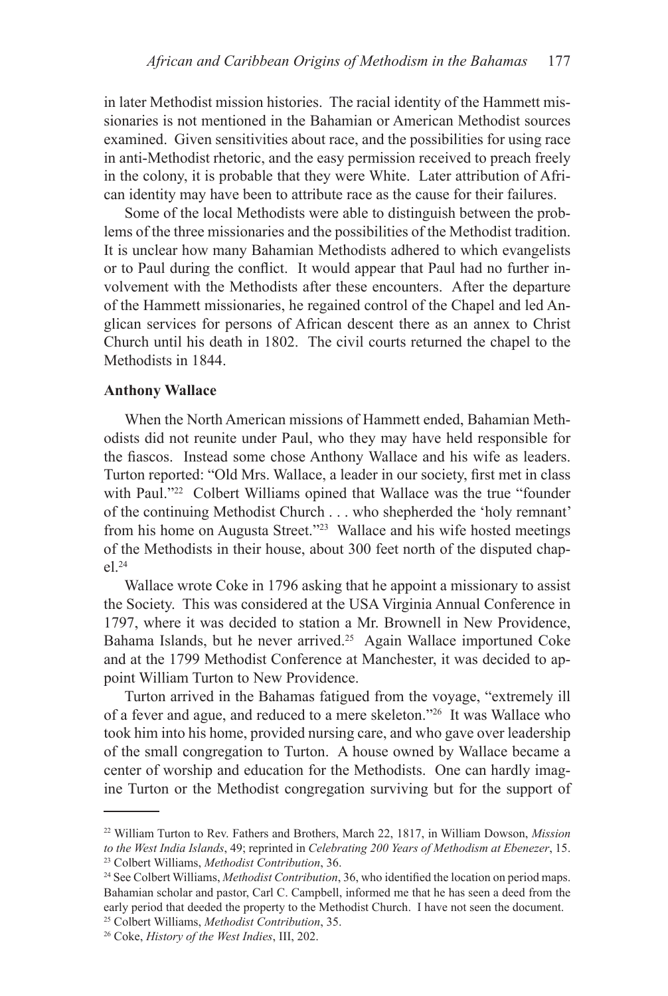in later Methodist mission histories. The racial identity of the Hammett missionaries is not mentioned in the Bahamian or American Methodist sources examined. Given sensitivities about race, and the possibilities for using race in anti-Methodist rhetoric, and the easy permission received to preach freely in the colony, it is probable that they were White. Later attribution of African identity may have been to attribute race as the cause for their failures.

Some of the local Methodists were able to distinguish between the problems of the three missionaries and the possibilities of the Methodist tradition. It is unclear how many Bahamian Methodists adhered to which evangelists or to Paul during the conflict. It would appear that Paul had no further involvement with the Methodists after these encounters. After the departure of the Hammett missionaries, he regained control of the Chapel and led Anglican services for persons of African descent there as an annex to Christ Church until his death in 1802. The civil courts returned the chapel to the Methodists in 1844.

### **Anthony Wallace**

When the North American missions of Hammett ended, Bahamian Methodists did not reunite under Paul, who they may have held responsible for the fiascos. Instead some chose Anthony Wallace and his wife as leaders. Turton reported: "Old Mrs. Wallace, a leader in our society, first met in class with Paul."<sup>22</sup> Colbert Williams opined that Wallace was the true "founder of the continuing Methodist Church . . . who shepherded the 'holy remnant' from his home on Augusta Street."23 Wallace and his wife hosted meetings of the Methodists in their house, about 300 feet north of the disputed chap- $-1^{24}$ 

Wallace wrote Coke in 1796 asking that he appoint a missionary to assist the Society. This was considered at the USA Virginia Annual Conference in 1797, where it was decided to station a Mr. Brownell in New Providence, Bahama Islands, but he never arrived.<sup>25</sup> Again Wallace importuned Coke and at the 1799 Methodist Conference at Manchester, it was decided to appoint William Turton to New Providence.

Turton arrived in the Bahamas fatigued from the voyage, "extremely ill of a fever and ague, and reduced to a mere skeleton."26 It was Wallace who took him into his home, provided nursing care, and who gave over leadership of the small congregation to Turton. A house owned by Wallace became a center of worship and education for the Methodists. One can hardly imagine Turton or the Methodist congregation surviving but for the support of

<sup>22</sup> William Turton to Rev. Fathers and Brothers, March 22, 1817, in William Dowson, *Mission to the West India Islands*, 49; reprinted in *Celebrating 200 Years of Methodism at Ebenezer*, 15. 23 Colbert Williams, *Methodist Contribution*, 36.

<sup>24</sup> See Colbert Williams, *Methodist Contribution*, 36, who identified the location on period maps. Bahamian scholar and pastor, Carl C. Campbell, informed me that he has seen a deed from the early period that deeded the property to the Methodist Church. I have not seen the document. 25 Colbert Williams, *Methodist Contribution*, 35.

<sup>26</sup> Coke, *History of the West Indies*, III, 202.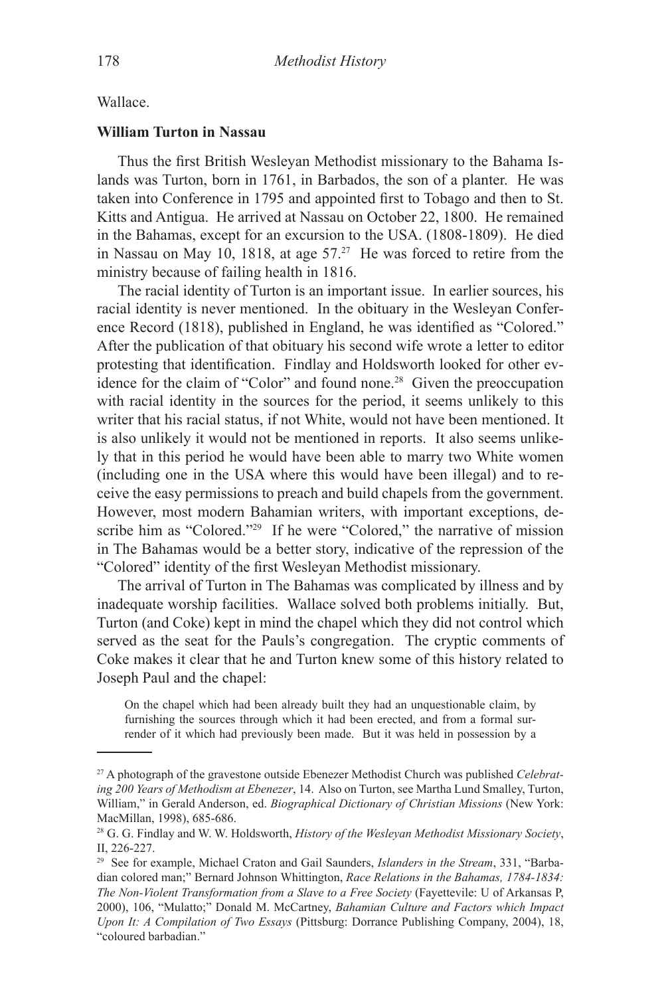## Wallace.

## **William Turton in Nassau**

Thus the first British Wesleyan Methodist missionary to the Bahama Islands was Turton, born in 1761, in Barbados, the son of a planter. He was taken into Conference in 1795 and appointed first to Tobago and then to St. Kitts and Antigua. He arrived at Nassau on October 22, 1800. He remained in the Bahamas, except for an excursion to the USA. (1808-1809). He died in Nassau on May 10, 1818, at age  $57<sup>27</sup>$  He was forced to retire from the ministry because of failing health in 1816.

The racial identity of Turton is an important issue. In earlier sources, his racial identity is never mentioned. In the obituary in the Wesleyan Conference Record (1818), published in England, he was identified as "Colored." After the publication of that obituary his second wife wrote a letter to editor protesting that identification. Findlay and Holdsworth looked for other evidence for the claim of "Color" and found none.<sup>28</sup> Given the preoccupation with racial identity in the sources for the period, it seems unlikely to this writer that his racial status, if not White, would not have been mentioned. It is also unlikely it would not be mentioned in reports. It also seems unlikely that in this period he would have been able to marry two White women (including one in the USA where this would have been illegal) and to receive the easy permissions to preach and build chapels from the government. However, most modern Bahamian writers, with important exceptions, describe him as "Colored."<sup>29</sup> If he were "Colored," the narrative of mission in The Bahamas would be a better story, indicative of the repression of the "Colored" identity of the first Wesleyan Methodist missionary.

The arrival of Turton in The Bahamas was complicated by illness and by inadequate worship facilities. Wallace solved both problems initially. But, Turton (and Coke) kept in mind the chapel which they did not control which served as the seat for the Pauls's congregation. The cryptic comments of Coke makes it clear that he and Turton knew some of this history related to Joseph Paul and the chapel:

On the chapel which had been already built they had an unquestionable claim, by furnishing the sources through which it had been erected, and from a formal surrender of it which had previously been made. But it was held in possession by a

<sup>27</sup> A photograph of the gravestone outside Ebenezer Methodist Church was published *Celebrating 200 Years of Methodism at Ebenezer*, 14. Also on Turton, see Martha Lund Smalley, Turton, William," in Gerald Anderson, ed. *Biographical Dictionary of Christian Missions* (New York: MacMillan, 1998), 685-686.

<sup>28</sup> G. G. Findlay and W. W. Holdsworth, *History of the Wesleyan Methodist Missionary Society*, II, 226-227.

<sup>29</sup> See for example, Michael Craton and Gail Saunders, *Islanders in the Stream*, 331, "Barbadian colored man;" Bernard Johnson Whittington, *Race Relations in the Bahamas, 1784-1834: The Non-Violent Transformation from a Slave to a Free Society* (Fayettevile: U of Arkansas P, 2000), 106, "Mulatto;" Donald M. McCartney, *Bahamian Culture and Factors which Impact Upon It: A Compilation of Two Essays* (Pittsburg: Dorrance Publishing Company, 2004), 18, "coloured barbadian."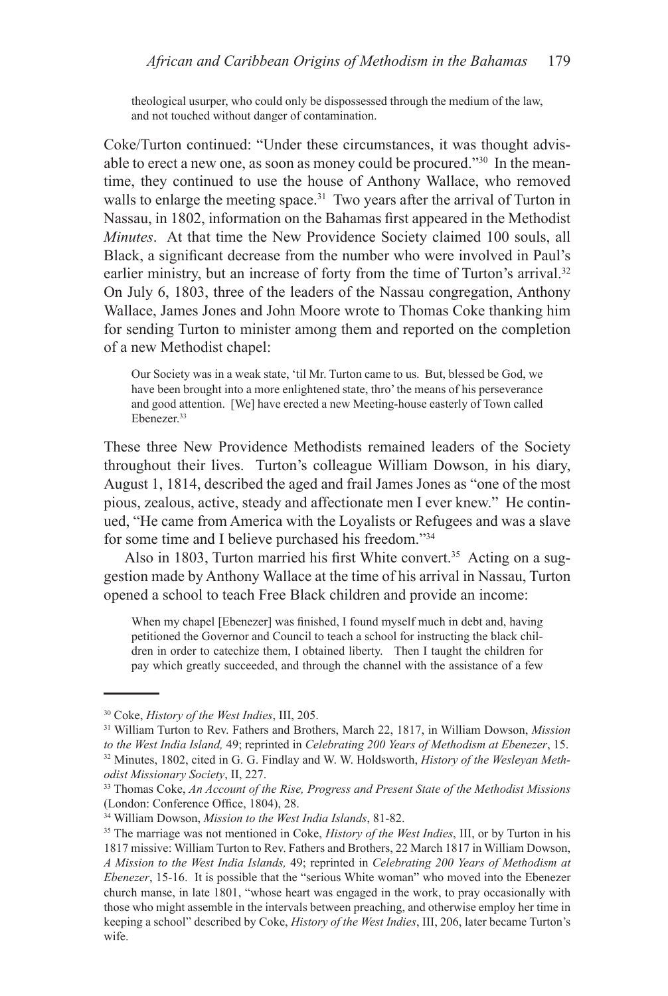theological usurper, who could only be dispossessed through the medium of the law, and not touched without danger of contamination.

Coke/Turton continued: "Under these circumstances, it was thought advisable to erect a new one, as soon as money could be procured."<sup>30</sup> In the meantime, they continued to use the house of Anthony Wallace, who removed walls to enlarge the meeting space.<sup>31</sup> Two years after the arrival of Turton in Nassau, in 1802, information on the Bahamas first appeared in the Methodist *Minutes*. At that time the New Providence Society claimed 100 souls, all Black, a significant decrease from the number who were involved in Paul's earlier ministry, but an increase of forty from the time of Turton's arrival.<sup>32</sup> On July 6, 1803, three of the leaders of the Nassau congregation, Anthony Wallace, James Jones and John Moore wrote to Thomas Coke thanking him for sending Turton to minister among them and reported on the completion of a new Methodist chapel:

Our Society was in a weak state, 'til Mr. Turton came to us. But, blessed be God, we have been brought into a more enlightened state, thro' the means of his perseverance and good attention. [We] have erected a new Meeting-house easterly of Town called Ebenezer.<sup>33</sup>

These three New Providence Methodists remained leaders of the Society throughout their lives. Turton's colleague William Dowson, in his diary, August 1, 1814, described the aged and frail James Jones as "one of the most pious, zealous, active, steady and affectionate men I ever knew." He continued, "He came from America with the Loyalists or Refugees and was a slave for some time and I believe purchased his freedom."34

Also in 1803, Turton married his first White convert.<sup>35</sup> Acting on a suggestion made by Anthony Wallace at the time of his arrival in Nassau, Turton opened a school to teach Free Black children and provide an income:

When my chapel [Ebenezer] was finished, I found myself much in debt and, having petitioned the Governor and Council to teach a school for instructing the black children in order to catechize them, I obtained liberty. Then I taught the children for pay which greatly succeeded, and through the channel with the assistance of a few

<sup>30</sup> Coke, *History of the West Indies*, III, 205.

<sup>31</sup> William Turton to Rev. Fathers and Brothers, March 22, 1817, in William Dowson, *Mission to the West India Island,* 49; reprinted in *Celebrating 200 Years of Methodism at Ebenezer*, 15.

<sup>32</sup> Minutes, 1802, cited in G. G. Findlay and W. W. Holdsworth, *History of the Wesleyan Methodist Missionary Society*, II, 227.

<sup>33</sup> Thomas Coke, *An Account of the Rise, Progress and Present State of the Methodist Missions* (London: Conference Office, 1804), 28.

<sup>34</sup> William Dowson, *Mission to the West India Islands*, 81-82.

<sup>35</sup> The marriage was not mentioned in Coke, *History of the West Indies*, III, or by Turton in his 1817 missive: William Turton to Rev. Fathers and Brothers, 22 March 1817 in William Dowson, *A Mission to the West India Islands,* 49; reprinted in *Celebrating 200 Years of Methodism at Ebenezer*, 15-16. It is possible that the "serious White woman" who moved into the Ebenezer church manse, in late 1801, "whose heart was engaged in the work, to pray occasionally with those who might assemble in the intervals between preaching, and otherwise employ her time in keeping a school" described by Coke, *History of the West Indies*, III, 206, later became Turton's wife.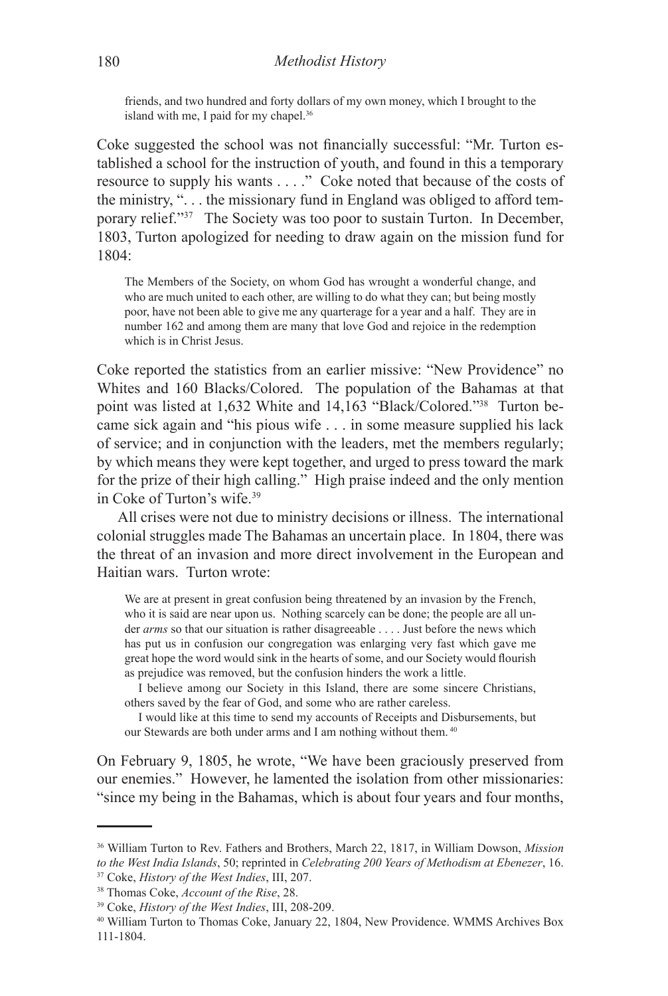friends, and two hundred and forty dollars of my own money, which I brought to the island with me, I paid for my chapel.<sup>36</sup>

Coke suggested the school was not financially successful: "Mr. Turton established a school for the instruction of youth, and found in this a temporary resource to supply his wants . . . ." Coke noted that because of the costs of the ministry, ". . . the missionary fund in England was obliged to afford temporary relief."37 The Society was too poor to sustain Turton. In December, 1803, Turton apologized for needing to draw again on the mission fund for 1804:

The Members of the Society, on whom God has wrought a wonderful change, and who are much united to each other, are willing to do what they can; but being mostly poor, have not been able to give me any quarterage for a year and a half. They are in number 162 and among them are many that love God and rejoice in the redemption which is in Christ Jesus.

Coke reported the statistics from an earlier missive: "New Providence" no Whites and 160 Blacks/Colored. The population of the Bahamas at that point was listed at 1,632 White and 14,163 "Black/Colored."38 Turton became sick again and "his pious wife . . . in some measure supplied his lack of service; and in conjunction with the leaders, met the members regularly; by which means they were kept together, and urged to press toward the mark for the prize of their high calling." High praise indeed and the only mention in Coke of Turton's wife.39

All crises were not due to ministry decisions or illness. The international colonial struggles made The Bahamas an uncertain place. In 1804, there was the threat of an invasion and more direct involvement in the European and Haitian wars. Turton wrote:

We are at present in great confusion being threatened by an invasion by the French, who it is said are near upon us. Nothing scarcely can be done; the people are all under *arms* so that our situation is rather disagreeable . . . . Just before the news which has put us in confusion our congregation was enlarging very fast which gave me great hope the word would sink in the hearts of some, and our Society would flourish as prejudice was removed, but the confusion hinders the work a little.

I believe among our Society in this Island, there are some sincere Christians, others saved by the fear of God, and some who are rather careless.

I would like at this time to send my accounts of Receipts and Disbursements, but our Stewards are both under arms and I am nothing without them. 40

On February 9, 1805, he wrote, "We have been graciously preserved from our enemies." However, he lamented the isolation from other missionaries: "since my being in the Bahamas, which is about four years and four months,

<sup>36</sup> William Turton to Rev. Fathers and Brothers, March 22, 1817, in William Dowson, *Mission to the West India Islands*, 50; reprinted in *Celebrating 200 Years of Methodism at Ebenezer*, 16.

<sup>37</sup> Coke, *History of the West Indies*, III, 207.

<sup>38</sup> Thomas Coke, *Account of the Rise*, 28.

<sup>39</sup> Coke, *History of the West Indies*, III, 208-209.

<sup>40</sup> William Turton to Thomas Coke, January 22, 1804, New Providence. WMMS Archives Box 111-1804.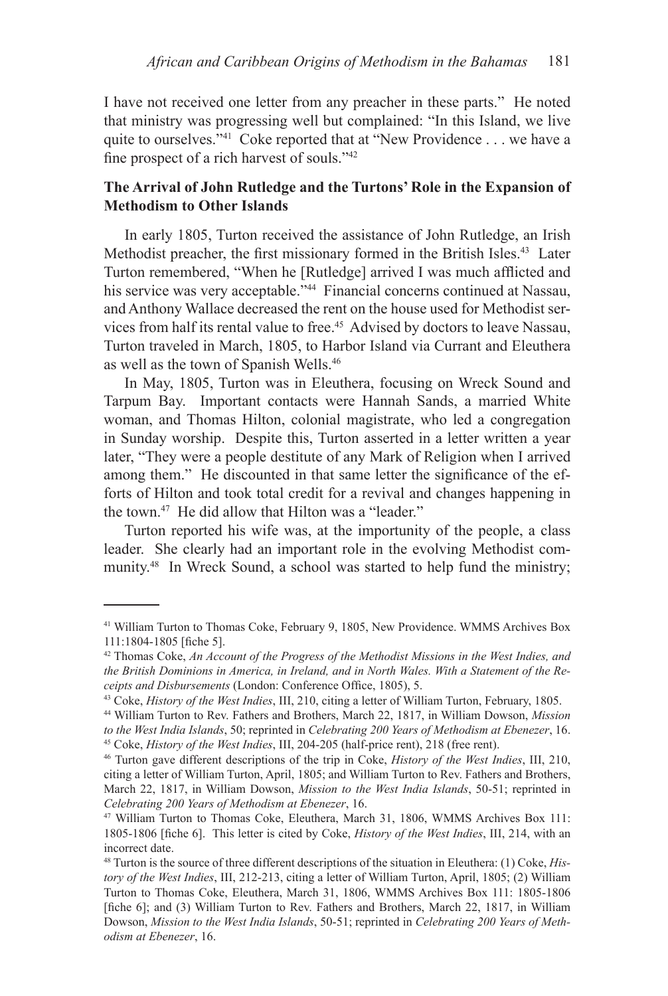I have not received one letter from any preacher in these parts." He noted that ministry was progressing well but complained: "In this Island, we live quite to ourselves."<sup>41</sup> Coke reported that at "New Providence . . . we have a fine prospect of a rich harvest of souls."<sup>42</sup>

# **The Arrival of John Rutledge and the Turtons' Role in the Expansion of Methodism to Other Islands**

In early 1805, Turton received the assistance of John Rutledge, an Irish Methodist preacher, the first missionary formed in the British Isles.<sup>43</sup> Later Turton remembered, "When he [Rutledge] arrived I was much afflicted and his service was very acceptable."<sup>44</sup> Financial concerns continued at Nassau, and Anthony Wallace decreased the rent on the house used for Methodist services from half its rental value to free.<sup>45</sup> Advised by doctors to leave Nassau, Turton traveled in March, 1805, to Harbor Island via Currant and Eleuthera as well as the town of Spanish Wells.46

In May, 1805, Turton was in Eleuthera, focusing on Wreck Sound and Tarpum Bay. Important contacts were Hannah Sands, a married White woman, and Thomas Hilton, colonial magistrate, who led a congregation in Sunday worship. Despite this, Turton asserted in a letter written a year later, "They were a people destitute of any Mark of Religion when I arrived among them." He discounted in that same letter the significance of the efforts of Hilton and took total credit for a revival and changes happening in the town.47 He did allow that Hilton was a "leader."

Turton reported his wife was, at the importunity of the people, a class leader. She clearly had an important role in the evolving Methodist community.48 In Wreck Sound, a school was started to help fund the ministry;

<sup>41</sup> William Turton to Thomas Coke, February 9, 1805, New Providence. WMMS Archives Box 111:1804-1805 [fiche 5].

<sup>42</sup> Thomas Coke, *An Account of the Progress of the Methodist Missions in the West Indies, and the British Dominions in America, in Ireland, and in North Wales. With a Statement of the Receipts and Disbursements* (London: Conference Office, 1805), 5.

<sup>43</sup> Coke, *History of the West Indies*, III, 210, citing a letter of William Turton, February, 1805.

<sup>44</sup> William Turton to Rev. Fathers and Brothers, March 22, 1817, in William Dowson, *Mission to the West India Islands*, 50; reprinted in *Celebrating 200 Years of Methodism at Ebenezer*, 16. 45 Coke, *History of the West Indies*, III, 204-205 (half-price rent), 218 (free rent).

<sup>46</sup> Turton gave different descriptions of the trip in Coke, *History of the West Indies*, III, 210, citing a letter of William Turton, April, 1805; and William Turton to Rev. Fathers and Brothers, March 22, 1817, in William Dowson, *Mission to the West India Islands*, 50-51; reprinted in *Celebrating 200 Years of Methodism at Ebenezer*, 16.

<sup>47</sup> William Turton to Thomas Coke, Eleuthera, March 31, 1806, WMMS Archives Box 111: 1805-1806 [fiche 6]. This letter is cited by Coke, *History of the West Indies*, III, 214, with an incorrect date.

<sup>48</sup> Turton is the source of three different descriptions of the situation in Eleuthera: (1) Coke, *History of the West Indies*, III, 212-213, citing a letter of William Turton, April, 1805; (2) William Turton to Thomas Coke, Eleuthera, March 31, 1806, WMMS Archives Box 111: 1805-1806 [fiche 6]; and (3) William Turton to Rev. Fathers and Brothers, March 22, 1817, in William Dowson, *Mission to the West India Islands*, 50-51; reprinted in *Celebrating 200 Years of Methodism at Ebenezer*, 16.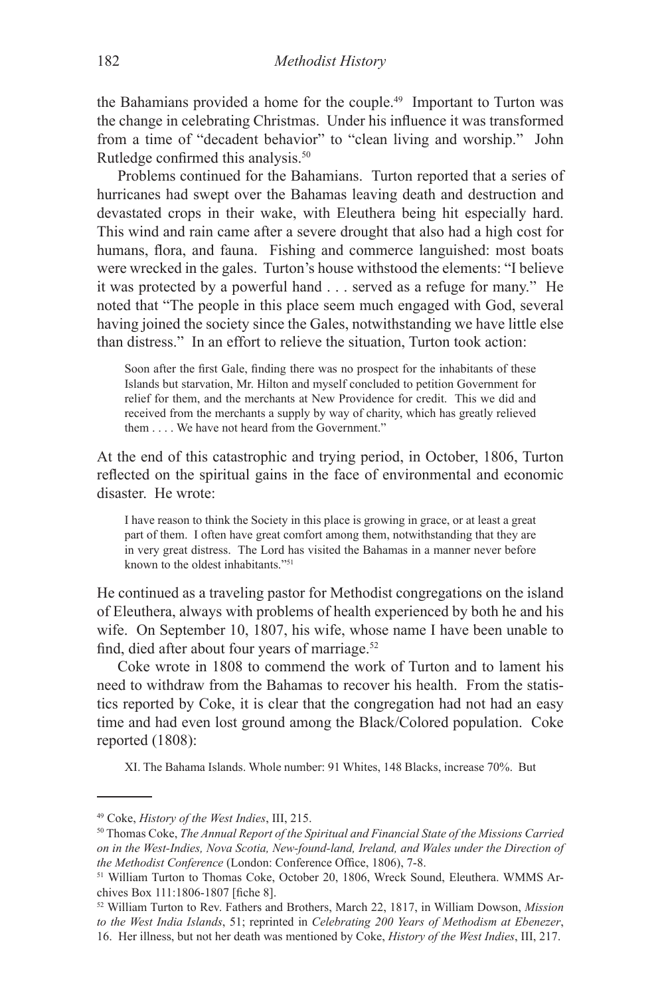the Bahamians provided a home for the couple.49 Important to Turton was the change in celebrating Christmas. Under his influence it was transformed from a time of "decadent behavior" to "clean living and worship." John Rutledge confirmed this analysis.<sup>50</sup>

Problems continued for the Bahamians. Turton reported that a series of hurricanes had swept over the Bahamas leaving death and destruction and devastated crops in their wake, with Eleuthera being hit especially hard. This wind and rain came after a severe drought that also had a high cost for humans, flora, and fauna. Fishing and commerce languished: most boats were wrecked in the gales. Turton's house withstood the elements: "I believe it was protected by a powerful hand . . . served as a refuge for many." He noted that "The people in this place seem much engaged with God, several having joined the society since the Gales, notwithstanding we have little else than distress." In an effort to relieve the situation, Turton took action:

Soon after the first Gale, finding there was no prospect for the inhabitants of these Islands but starvation, Mr. Hilton and myself concluded to petition Government for relief for them, and the merchants at New Providence for credit. This we did and received from the merchants a supply by way of charity, which has greatly relieved them . . . . We have not heard from the Government."

At the end of this catastrophic and trying period, in October, 1806, Turton reflected on the spiritual gains in the face of environmental and economic disaster. He wrote:

I have reason to think the Society in this place is growing in grace, or at least a great part of them. I often have great comfort among them, notwithstanding that they are in very great distress. The Lord has visited the Bahamas in a manner never before known to the oldest inhabitants."51

He continued as a traveling pastor for Methodist congregations on the island of Eleuthera, always with problems of health experienced by both he and his wife. On September 10, 1807, his wife, whose name I have been unable to find, died after about four years of marriage.<sup>52</sup>

Coke wrote in 1808 to commend the work of Turton and to lament his need to withdraw from the Bahamas to recover his health. From the statistics reported by Coke, it is clear that the congregation had not had an easy time and had even lost ground among the Black/Colored population. Coke reported (1808):

XI. The Bahama Islands. Whole number: 91 Whites, 148 Blacks, increase 70%. But

<sup>49</sup> Coke, *History of the West Indies*, III, 215.

<sup>50</sup> Thomas Coke, *The Annual Report of the Spiritual and Financial State of the Missions Carried on in the West-Indies, Nova Scotia, New-found-land, Ireland, and Wales under the Direction of the Methodist Conference* (London: Conference Office, 1806), 7-8.

<sup>51</sup> William Turton to Thomas Coke, October 20, 1806, Wreck Sound, Eleuthera. WMMS Archives Box 111:1806-1807 [fiche 8].

<sup>52</sup> William Turton to Rev. Fathers and Brothers, March 22, 1817, in William Dowson, *Mission to the West India Islands*, 51; reprinted in *Celebrating 200 Years of Methodism at Ebenezer*, 16. Her illness, but not her death was mentioned by Coke, *History of the West Indies*, III, 217.